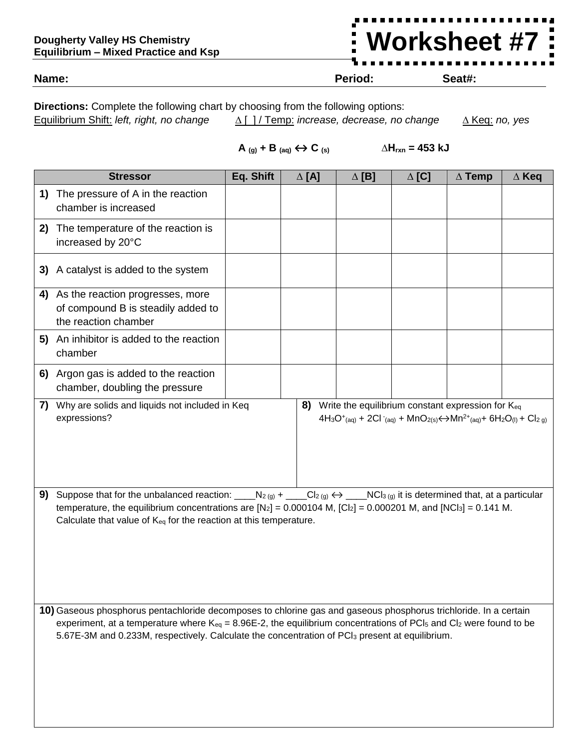## **Dougherty Valley HS Chemistry Equilibrium – Mixed Practice and Ksp**

## **Worksheet #7**

**Name: Period: Seat#:**

**Directions:** Complete the following chart by choosing from the following options: Equilibrium Shift: *left, right, no change ∆* [ ] / Temp: *increase, decrease, no change ∆* Keq: *no, yes*

 $\mathbf{A}$  **(g)** + **B (aq)**  $\Leftrightarrow \mathbf{C}$  **(s)**  $\Delta H_{rxn} = 453 \text{ kJ}$ 

|                                                                                                                                                                                                                                                                                                                                                                                   | <b>Stressor</b>                                                                                                                                                                                                           | Eq. Shift | $\Delta$ [A] | $\Delta$ [B] | $\Delta$ [C] | $\Delta$ Temp | $\Delta$ Keq |  |
|-----------------------------------------------------------------------------------------------------------------------------------------------------------------------------------------------------------------------------------------------------------------------------------------------------------------------------------------------------------------------------------|---------------------------------------------------------------------------------------------------------------------------------------------------------------------------------------------------------------------------|-----------|--------------|--------------|--------------|---------------|--------------|--|
|                                                                                                                                                                                                                                                                                                                                                                                   | 1) The pressure of A in the reaction<br>chamber is increased                                                                                                                                                              |           |              |              |              |               |              |  |
| 2)                                                                                                                                                                                                                                                                                                                                                                                | The temperature of the reaction is<br>increased by 20°C                                                                                                                                                                   |           |              |              |              |               |              |  |
|                                                                                                                                                                                                                                                                                                                                                                                   | 3) A catalyst is added to the system                                                                                                                                                                                      |           |              |              |              |               |              |  |
|                                                                                                                                                                                                                                                                                                                                                                                   | 4) As the reaction progresses, more<br>of compound B is steadily added to<br>the reaction chamber                                                                                                                         |           |              |              |              |               |              |  |
|                                                                                                                                                                                                                                                                                                                                                                                   | 5) An inhibitor is added to the reaction<br>chamber                                                                                                                                                                       |           |              |              |              |               |              |  |
|                                                                                                                                                                                                                                                                                                                                                                                   | 6) Argon gas is added to the reaction<br>chamber, doubling the pressure                                                                                                                                                   |           |              |              |              |               |              |  |
|                                                                                                                                                                                                                                                                                                                                                                                   | 7) Why are solids and liquids not included in Keq<br>8) Write the equilibrium constant expression for Keq<br>expressions?<br>$4H_3O^+(aq) + 2Cl^-(aq) + MnO_{2(s)} \leftrightarrow Mn^{2+}(aq) + 6H_2O_{(l)} + Cl_{2(g)}$ |           |              |              |              |               |              |  |
| Suppose that for the unbalanced reaction: _____N <sub>2(g)</sub> + ____Cl <sub>2(g)</sub> $\leftrightarrow$ ____NCl <sub>3(g)</sub> it is determined that, at a particular<br>9)<br>temperature, the equilibrium concentrations are $[N_2] = 0.000104$ M, $[C_2] = 0.000201$ M, and $[NC_3] = 0.141$ M.<br>Calculate that value of $K_{eq}$ for the reaction at this temperature. |                                                                                                                                                                                                                           |           |              |              |              |               |              |  |
| 10) Gaseous phosphorus pentachloride decomposes to chlorine gas and gaseous phosphorus trichloride. In a certain<br>experiment, at a temperature where $K_{eq} = 8.96E-2$ , the equilibrium concentrations of PCI <sub>5</sub> and CI <sub>2</sub> were found to be<br>5.67E-3M and 0.233M, respectively. Calculate the concentration of PCI <sub>3</sub> present at equilibrium. |                                                                                                                                                                                                                           |           |              |              |              |               |              |  |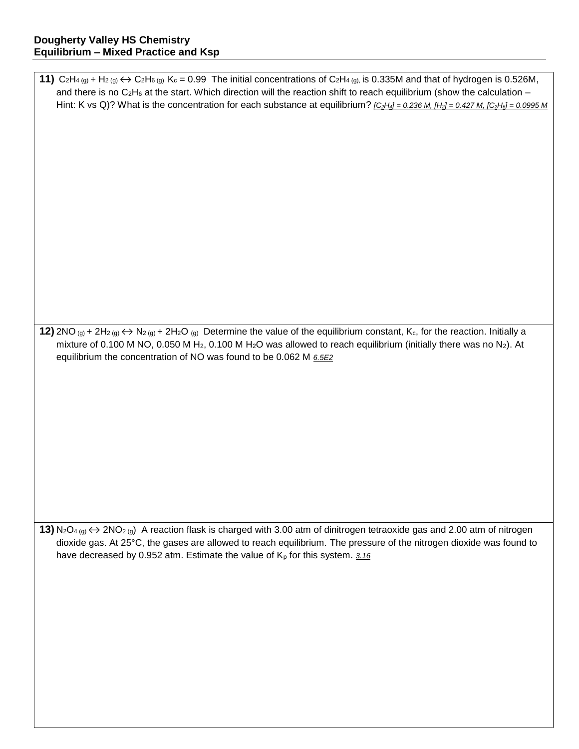| 11) $C_2H_4(g) + H_2(g) \leftrightarrow C_2H_6(g)$ K <sub>c</sub> = 0.99 The initial concentrations of $C_2H_4(g)$ is 0.335M and that of hydrogen is 0.526M,                                   |
|------------------------------------------------------------------------------------------------------------------------------------------------------------------------------------------------|
| and there is no $C_2H_6$ at the start. Which direction will the reaction shift to reach equilibrium (show the calculation $-$                                                                  |
| Hint: K vs Q)? What is the concentration for each substance at equilibrium? $[{\rm C}_2H_4] = 0.236 M$ , $[H_2] = 0.427 M$ , $[{\rm C}_2H_6] = 0.0995 M$                                       |
|                                                                                                                                                                                                |
|                                                                                                                                                                                                |
|                                                                                                                                                                                                |
|                                                                                                                                                                                                |
|                                                                                                                                                                                                |
|                                                                                                                                                                                                |
|                                                                                                                                                                                                |
|                                                                                                                                                                                                |
|                                                                                                                                                                                                |
|                                                                                                                                                                                                |
|                                                                                                                                                                                                |
|                                                                                                                                                                                                |
|                                                                                                                                                                                                |
|                                                                                                                                                                                                |
|                                                                                                                                                                                                |
|                                                                                                                                                                                                |
|                                                                                                                                                                                                |
|                                                                                                                                                                                                |
| 12) 2NO (g) + 2H <sub>2</sub> (g) $\leftrightarrow$ N <sub>2</sub> (g) + 2H <sub>2</sub> O (g) Determine the value of the equilibrium constant, K <sub>c</sub> , for the reaction. Initially a |
| mixture of 0.100 M NO, 0.050 M H <sub>2</sub> , 0.100 M H <sub>2</sub> O was allowed to reach equilibrium (initially there was no N <sub>2</sub> ). At                                         |
| equilibrium the concentration of NO was found to be 0.062 M 6.5E2                                                                                                                              |
|                                                                                                                                                                                                |
|                                                                                                                                                                                                |
|                                                                                                                                                                                                |
|                                                                                                                                                                                                |
|                                                                                                                                                                                                |
|                                                                                                                                                                                                |
|                                                                                                                                                                                                |
|                                                                                                                                                                                                |
|                                                                                                                                                                                                |
|                                                                                                                                                                                                |
|                                                                                                                                                                                                |
|                                                                                                                                                                                                |
|                                                                                                                                                                                                |
|                                                                                                                                                                                                |
| 13) $N_2O_{4(g)} \leftrightarrow 2NO_{2(g)}$ A reaction flask is charged with 3.00 atm of dinitrogen tetraoxide gas and 2.00 atm of nitrogen                                                   |
| dioxide gas. At 25°C, the gases are allowed to reach equilibrium. The pressure of the nitrogen dioxide was found to                                                                            |
| have decreased by 0.952 atm. Estimate the value of $K_p$ for this system. 3.16                                                                                                                 |
|                                                                                                                                                                                                |
|                                                                                                                                                                                                |
|                                                                                                                                                                                                |
|                                                                                                                                                                                                |
|                                                                                                                                                                                                |
|                                                                                                                                                                                                |
|                                                                                                                                                                                                |
|                                                                                                                                                                                                |
|                                                                                                                                                                                                |
|                                                                                                                                                                                                |
|                                                                                                                                                                                                |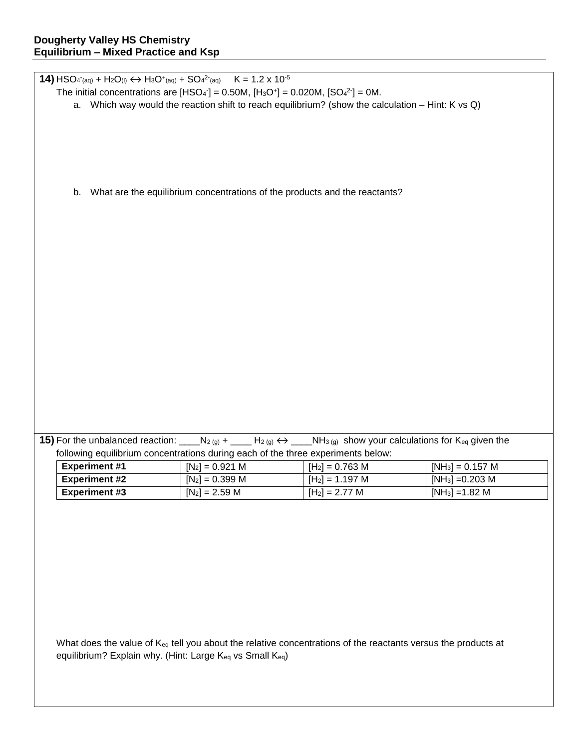**14)**  $HSO_{4 \text{ (aq)}} + H_2O_{(l)} \leftrightarrow H_3O_{(aq)}} + SO_{4}^{2}{}_{(aq)}$   $K = 1.2 \times 10^{-5}$ The initial concentrations are  $[HSO_4] = 0.50M$ ,  $[H_3O^+] = 0.020M$ ,  $[SO_4^2] = 0M$ . a. Which way would the reaction shift to reach equilibrium? (show the calculation – Hint: K vs Q) b. What are the equilibrium concentrations of the products and the reactants? **15)** For the unbalanced reaction: \_\_\_\_N<sub>2 (g)</sub> + \_\_\_\_ H<sub>2 (g)</sub>  $\leftrightarrow$  \_\_\_\_NH<sub>3 (g)</sub> show your calculations for K<sub>eq</sub> given the following equilibrium concentrations during each of the three experiments below: **Experiment #1**  $[N_2] = 0.921 \text{ M}$   $[H_2] = 0.763 \text{ M}$   $[NH_3] = 0.157 \text{ M}$ **Experiment #2**  $\begin{bmatrix} N_2 \end{bmatrix} = 0.399 \text{ M}$   $\begin{bmatrix} H_2 \end{bmatrix} = 1.197 \text{ M}$   $\begin{bmatrix} NH_3 \end{bmatrix} = 0.203 \text{ M}$ **Experiment #3**  $\begin{bmatrix} [N_2] = 2.59 M \end{bmatrix}$   $[H_2] = 2.77 M$   $\begin{bmatrix} [NH_3] = 1.82 M \end{bmatrix}$ What does the value of K<sub>eq</sub> tell you about the relative concentrations of the reactants versus the products at equilibrium? Explain why. (Hint: Large Keq vs Small Keq)